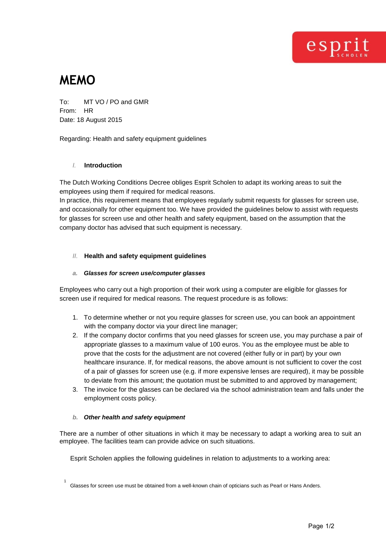

# **MEMO**

To: MT VO / PO and GMR From: HR Date: 18 August 2015

Regarding: Health and safety equipment guidelines

# *I.* **Introduction**

The Dutch Working Conditions Decree obliges Esprit Scholen to adapt its working areas to suit the employees using them if required for medical reasons.

In practice, this requirement means that employees regularly submit requests for glasses for screen use, and occasionally for other equipment too. We have provided the guidelines below to assist with requests for glasses for screen use and other health and safety equipment, based on the assumption that the company doctor has advised that such equipment is necessary.

# *II.* **Health and safety equipment guidelines**

## *a. Glasses for screen use/computer glasses*

Employees who carry out a high proportion of their work using a computer are eligible for glasses for screen use if required for medical reasons. The request procedure is as follows:

- 1. To determine whether or not you require glasses for screen use, you can book an appointment with the company doctor via your direct line manager;
- 2. If the company doctor confirms that you need glasses for screen use, you may purchase a pair of appropriate glasses to a maximum value of 100 euros. You as the employee must be able to prove that the costs for the adjustment are not covered (either fully or in part) by your own healthcare insurance. If, for medical reasons, the above amount is not sufficient to cover the cost of a pair of glasses for screen use (e.g. if more expensive lenses are required), it may be possible to deviate from this amount; the quotation must be submitted to and approved by management;
- 3. The invoice for the glasses can be declared via the school administration team and falls under the employment costs policy.

### *b. Other health and safety equipment*

There are a number of other situations in which it may be necessary to adapt a working area to suit an employee. The facilities team can provide advice on such situations.

Esprit Scholen applies the following guidelines in relation to adjustments to a working area:

<sup>1</sup> Glasses for screen use must be obtained from a well-known chain of opticians such as Pearl or Hans Anders.